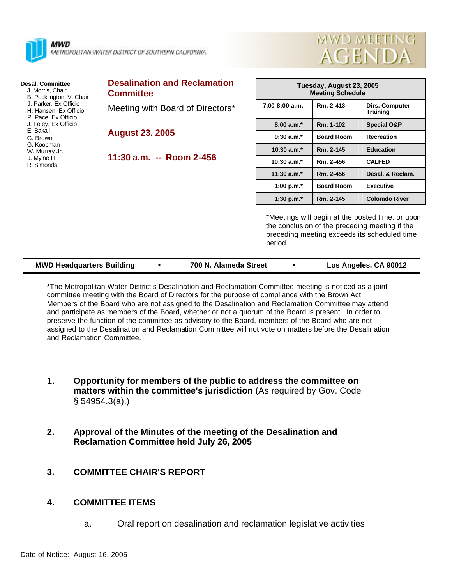

MWD METROPOLITAN WATER DISTRICT OF SOUTHERN CALIFORNIA

#### **Desal. Committee**

 J. Morris, Chair B. Pocklington, V. Chair J. Parker, Ex Officio H. Hansen, Ex Officio P. Pace, Ex Officio J. Foley, Ex Officio E. Bakall G. Brown G. Koopman W. Murray Jr. J. Mylne III R. Simonds

| <b>Desalination and Reclamation</b> |
|-------------------------------------|
| <b>Committee</b>                    |
| Meeting with Board of Directors*    |

**August 23, 2005**

**11:30 a.m. -- Room 2-456**

| Tuesday, August 23, 2005<br><b>Meeting Schedule</b> |                   |                            |  |  |  |
|-----------------------------------------------------|-------------------|----------------------------|--|--|--|
| $7:00-8:00$ a.m.                                    | Rm. 2-413         | Dirs. Computer<br>Training |  |  |  |
| $8:00a.m.*$                                         | Rm. 1-102         | <b>Special O&amp;P</b>     |  |  |  |
| $9:30$ a.m. <sup>*</sup>                            | <b>Board Room</b> | <b>Recreation</b>          |  |  |  |
| 10.30 $a.m.*$                                       | Rm. 2-145         | <b>Education</b>           |  |  |  |
| $10:30 a.m.*$                                       | Rm. 2-456         | <b>CALFED</b>              |  |  |  |
| 11:30 $a.m.*$                                       | Rm. 2-456         | Desal. & Reclam.           |  |  |  |
| 1:00 p.m. $*$                                       | <b>Board Room</b> | <b>Executive</b>           |  |  |  |
| 1:30 p.m. $*$                                       | Rm. 2-145         | <b>Colorado River</b>      |  |  |  |

mwd meeting

**AGENDA** 

\*Meetings will begin at the posted time, or upon the conclusion of the preceding meeting if the preceding meeting exceeds its scheduled time period.

| <b>MWD Headquarters Building</b> | 700 N. Alameda Street | Los Angeles, CA 90012 |
|----------------------------------|-----------------------|-----------------------|
|                                  |                       |                       |

**\***The Metropolitan Water District's Desalination and Reclamation Committee meeting is noticed as a joint committee meeting with the Board of Directors for the purpose of compliance with the Brown Act. Members of the Board who are not assigned to the Desalination and Reclamation Committee may attend and participate as members of the Board, whether or not a quorum of the Board is present. In order to preserve the function of the committee as advisory to the Board, members of the Board who are not assigned to the Desalination and Reclamation Committee will not vote on matters before the Desalination and Reclamation Committee.

- **1. Opportunity for members of the public to address the committee on matters within the committee's jurisdiction** (As required by Gov. Code § 54954.3(a).)
- **2. Approval of the Minutes of the meeting of the Desalination and Reclamation Committee held July 26, 2005**

# **3. COMMITTEE CHAIR'S REPORT**

## **4. COMMITTEE ITEMS**

a. Oral report on desalination and reclamation legislative activities